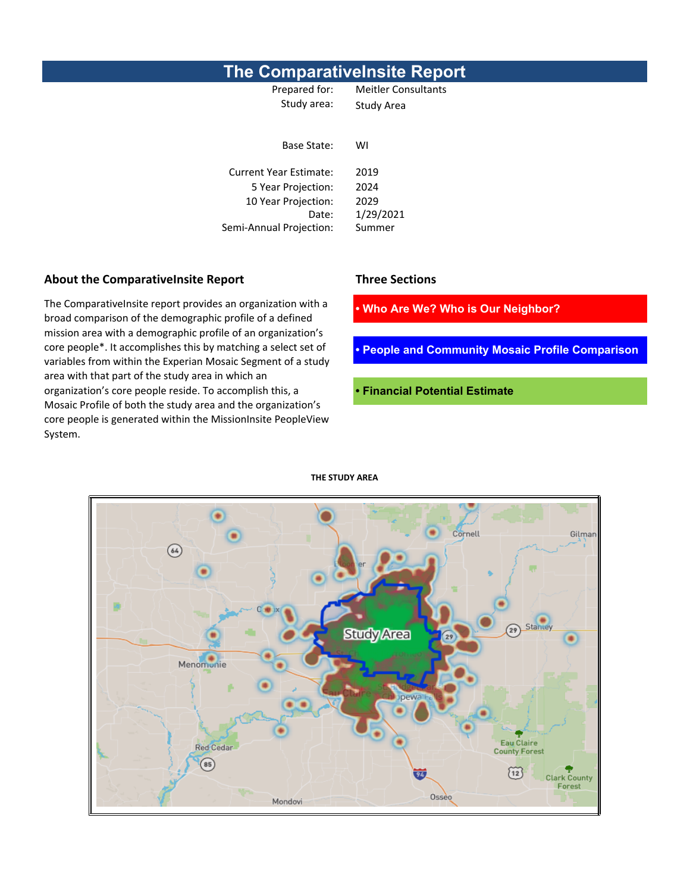### **The ComparativeInsite Report**

Prepared for: Meitler Consultants Study area: Study Area

Base State: WI Current Year Estimate: 2019 5 Year Projection: 2024 10 Year Projection: 2029 Date: 1/29/2021 Semi-Annual Projection: Summer

**• Who Are We? Who is Our Neighbor?**

**• People and Community Mosaic Profile Comparison**

**• Financial Potential Estimate**

Gilman Cornell  $\overline{\left(64\right)}$ **Map of study area here**Star **Study Area** Menomonie Eau Claire<br>County Forest Red Cedar  $\circled{85}$  $(12)$ **Clark County** Forest Osseo Mondovi

**THE STUDY AREA**

**About the ComparativeInsite Report Three Sections**

The ComparativeInsite report provides an organization with a broad comparison of the demographic profile of a defined mission area with a demographic profile of an organization's core people\*. It accomplishes this by matching a select set of variables from within the Experian Mosaic Segment of a study area with that part of the study area in which an organization's core people reside. To accomplish this, a Mosaic Profile of both the study area and the organization's core people is generated within the MissionInsite PeopleView System.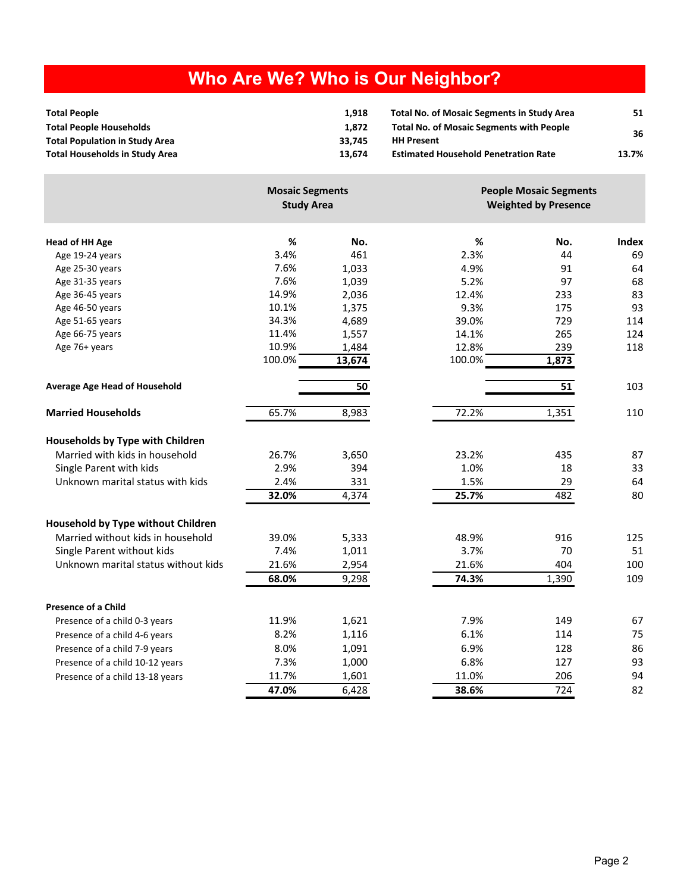# **Who Are We? Who is Our Neighbor?**

| <b>Total People</b>                   | 1.918  | <b>Total No. of Mosaic Segments in Study Area</b> | 51    |
|---------------------------------------|--------|---------------------------------------------------|-------|
| <b>Total People Households</b>        | 1.872  | <b>Total No. of Mosaic Segments with People</b>   | 36    |
| <b>Total Population in Study Area</b> | 33.745 | <b>HH Present</b>                                 |       |
| Total Households in Study Area        | 13.674 | <b>Estimated Household Penetration Rate</b>       | 13.7% |

|                                      | <b>Mosaic Segments</b><br><b>Study Area</b> |                 |        | <b>People Mosaic Segments</b><br><b>Weighted by Presence</b> |       |  |
|--------------------------------------|---------------------------------------------|-----------------|--------|--------------------------------------------------------------|-------|--|
| <b>Head of HH Age</b>                | $\%$                                        | No.             | %      | No.                                                          | Index |  |
| Age 19-24 years                      | 3.4%                                        | 461             | 2.3%   | 44                                                           | 69    |  |
| Age 25-30 years                      | 7.6%                                        | 1,033           | 4.9%   | 91                                                           | 64    |  |
| Age 31-35 years                      | 7.6%                                        | 1,039           | 5.2%   | 97                                                           | 68    |  |
| Age 36-45 years                      | 14.9%                                       | 2,036           | 12.4%  | 233                                                          | 83    |  |
| Age 46-50 years                      | 10.1%                                       | 1,375           | 9.3%   | 175                                                          | 93    |  |
| Age 51-65 years                      | 34.3%                                       | 4,689           | 39.0%  | 729                                                          | 114   |  |
| Age 66-75 years                      | 11.4%                                       | 1,557           | 14.1%  | 265                                                          | 124   |  |
| Age 76+ years                        | 10.9%                                       | 1,484           | 12.8%  | 239                                                          | 118   |  |
|                                      | 100.0%                                      | 13,674          | 100.0% | 1,873                                                        |       |  |
| <b>Average Age Head of Household</b> |                                             | $\overline{50}$ |        | $\overline{51}$                                              | 103   |  |
| <b>Married Households</b>            | 65.7%                                       | 8,983           | 72.2%  | 1,351                                                        | 110   |  |
| Households by Type with Children     |                                             |                 |        |                                                              |       |  |
| Married with kids in household       | 26.7%                                       | 3,650           | 23.2%  | 435                                                          | 87    |  |
| Single Parent with kids              | 2.9%                                        | 394             | 1.0%   | 18                                                           | 33    |  |
| Unknown marital status with kids     | 2.4%                                        | 331             | 1.5%   | 29                                                           | 64    |  |
|                                      | 32.0%                                       | 4,374           | 25.7%  | 482                                                          | 80    |  |
| Household by Type without Children   |                                             |                 |        |                                                              |       |  |
| Married without kids in household    | 39.0%                                       | 5,333           | 48.9%  | 916                                                          | 125   |  |
| Single Parent without kids           | 7.4%                                        | 1,011           | 3.7%   | 70                                                           | 51    |  |
| Unknown marital status without kids  | 21.6%                                       | 2,954           | 21.6%  | 404                                                          | 100   |  |
|                                      | 68.0%                                       | 9,298           | 74.3%  | 1,390                                                        | 109   |  |
| <b>Presence of a Child</b>           |                                             |                 |        |                                                              |       |  |
| Presence of a child 0-3 years        | 11.9%                                       | 1,621           | 7.9%   | 149                                                          | 67    |  |
| Presence of a child 4-6 years        | 8.2%                                        | 1,116           | 6.1%   | 114                                                          | 75    |  |
| Presence of a child 7-9 years        | 8.0%                                        | 1,091           | 6.9%   | 128                                                          | 86    |  |
| Presence of a child 10-12 years      | 7.3%                                        | 1,000           | 6.8%   | 127                                                          | 93    |  |
| Presence of a child 13-18 years      | 11.7%                                       | 1,601           | 11.0%  | 206                                                          | 94    |  |
|                                      | 47.0%                                       | 6,428           | 38.6%  | 724                                                          | 82    |  |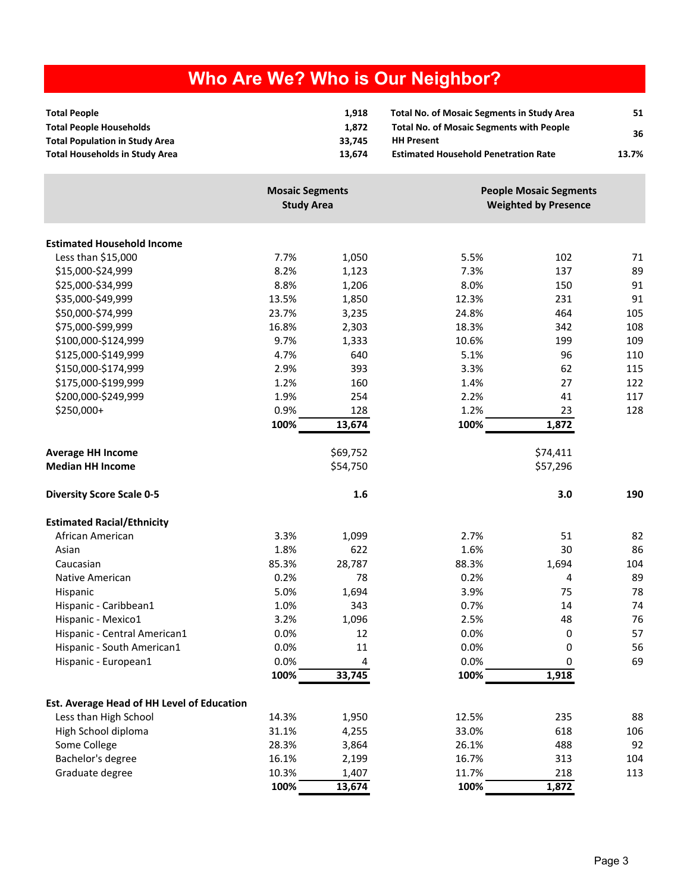# **Who Are We? Who is Our Neighbor?**

| <b>Total People</b>                   | 1.918  | <b>Total No. of Mosaic Segments in Study Area</b> | 51    |
|---------------------------------------|--------|---------------------------------------------------|-------|
| <b>Total People Households</b>        | 1.872  | <b>Total No. of Mosaic Segments with People</b>   | 36    |
| <b>Total Population in Study Area</b> | 33.745 | <b>HH Present</b>                                 |       |
| <b>Total Households in Study Area</b> | 13.674 | <b>Estimated Household Penetration Rate</b>       | 13.7% |

|                                            | <b>Mosaic Segments</b><br><b>Study Area</b> |          |       | <b>People Mosaic Segments</b><br><b>Weighted by Presence</b> |     |  |
|--------------------------------------------|---------------------------------------------|----------|-------|--------------------------------------------------------------|-----|--|
| <b>Estimated Household Income</b>          |                                             |          |       |                                                              |     |  |
| Less than \$15,000                         | 7.7%                                        | 1,050    | 5.5%  | 102                                                          | 71  |  |
| \$15,000-\$24,999                          | 8.2%                                        | 1,123    | 7.3%  | 137                                                          | 89  |  |
| \$25,000-\$34,999                          | 8.8%                                        | 1,206    | 8.0%  | 150                                                          | 91  |  |
| \$35,000-\$49,999                          | 13.5%                                       | 1,850    | 12.3% | 231                                                          | 91  |  |
| \$50,000-\$74,999                          | 23.7%                                       | 3,235    | 24.8% | 464                                                          | 105 |  |
| \$75,000-\$99,999                          | 16.8%                                       | 2,303    | 18.3% | 342                                                          | 108 |  |
| \$100,000-\$124,999                        | 9.7%                                        | 1,333    | 10.6% | 199                                                          | 109 |  |
| \$125,000-\$149,999                        | 4.7%                                        | 640      | 5.1%  | 96                                                           | 110 |  |
| \$150,000-\$174,999                        | 2.9%                                        | 393      | 3.3%  | 62                                                           | 115 |  |
| \$175,000-\$199,999                        | 1.2%                                        | 160      | 1.4%  | 27                                                           | 122 |  |
| \$200,000-\$249,999                        | 1.9%                                        | 254      | 2.2%  | 41                                                           | 117 |  |
| \$250,000+                                 | 0.9%                                        | 128      | 1.2%  | 23                                                           | 128 |  |
|                                            | 100%                                        | 13,674   | 100%  | 1,872                                                        |     |  |
| <b>Average HH Income</b>                   |                                             | \$69,752 |       | \$74,411                                                     |     |  |
| <b>Median HH Income</b>                    |                                             | \$54,750 |       | \$57,296                                                     |     |  |
| <b>Diversity Score Scale 0-5</b>           |                                             | 1.6      |       | 3.0                                                          | 190 |  |
| <b>Estimated Racial/Ethnicity</b>          |                                             |          |       |                                                              |     |  |
| African American                           | 3.3%                                        | 1,099    | 2.7%  | 51                                                           | 82  |  |
| Asian                                      | 1.8%                                        | 622      | 1.6%  | 30                                                           | 86  |  |
| Caucasian                                  | 85.3%                                       | 28,787   | 88.3% | 1,694                                                        | 104 |  |
| Native American                            | 0.2%                                        | 78       | 0.2%  | 4                                                            | 89  |  |
| Hispanic                                   | 5.0%                                        | 1,694    | 3.9%  | 75                                                           | 78  |  |
| Hispanic - Caribbean1                      | 1.0%                                        | 343      | 0.7%  | 14                                                           | 74  |  |
| Hispanic - Mexico1                         | 3.2%                                        | 1,096    | 2.5%  | 48                                                           | 76  |  |
| Hispanic - Central American1               | 0.0%                                        | 12       | 0.0%  | 0                                                            | 57  |  |
| Hispanic - South American1                 | 0.0%                                        | 11       | 0.0%  | 0                                                            | 56  |  |
| Hispanic - European1                       | 0.0%                                        | 4        | 0.0%  | 0                                                            | 69  |  |
|                                            | 100%                                        | 33,745   | 100%  | 1,918                                                        |     |  |
| Est. Average Head of HH Level of Education |                                             |          |       |                                                              |     |  |
| Less than High School                      | 14.3%                                       | 1,950    | 12.5% | 235                                                          | 88  |  |
| High School diploma                        | 31.1%                                       | 4,255    | 33.0% | 618                                                          | 106 |  |
| Some College                               | 28.3%                                       | 3,864    | 26.1% | 488                                                          | 92  |  |
| Bachelor's degree                          | 16.1%                                       | 2,199    | 16.7% | 313                                                          | 104 |  |
| Graduate degree                            | 10.3%                                       | 1,407    | 11.7% | 218                                                          | 113 |  |
|                                            | 100%                                        | 13,674   | 100%  | 1,872                                                        |     |  |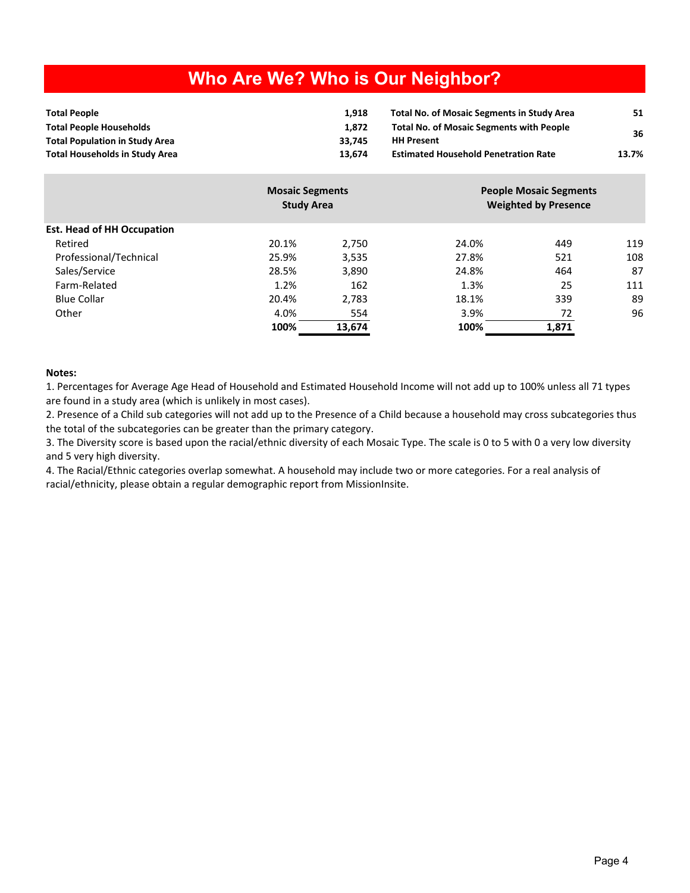## **Who Are We? Who is Our Neighbor?**

| <b>Total People</b>                   | 1.918  | <b>Total No. of Mosaic Segments in Study Area</b> | 51    |
|---------------------------------------|--------|---------------------------------------------------|-------|
| <b>Total People Households</b>        | 1.872  | <b>Total No. of Mosaic Segments with People</b>   | 36    |
| <b>Total Population in Study Area</b> | 33.745 | <b>HH Present</b>                                 |       |
| <b>Total Households in Study Area</b> | 13.674 | <b>Estimated Household Penetration Rate</b>       | 13.7% |

|                                   | <b>Mosaic Segments</b><br><b>Study Area</b> |        | <b>People Mosaic Segments</b><br><b>Weighted by Presence</b> |       |     |
|-----------------------------------|---------------------------------------------|--------|--------------------------------------------------------------|-------|-----|
| <b>Est. Head of HH Occupation</b> |                                             |        |                                                              |       |     |
| Retired                           | 20.1%                                       | 2.750  | 24.0%                                                        | 449   | 119 |
| Professional/Technical            | 25.9%                                       | 3,535  | 27.8%                                                        | 521   | 108 |
| Sales/Service                     | 28.5%                                       | 3,890  | 24.8%                                                        | 464   | 87  |
| Farm-Related                      | 1.2%                                        | 162    | 1.3%                                                         | 25    | 111 |
| <b>Blue Collar</b>                | 20.4%                                       | 2,783  | 18.1%                                                        | 339   | 89  |
| Other                             | 4.0%                                        | 554    | 3.9%                                                         | 72    | 96  |
|                                   | 100%                                        | 13,674 | 100%                                                         | 1,871 |     |

#### **Notes:**

1. Percentages for Average Age Head of Household and Estimated Household Income will not add up to 100% unless all 71 types are found in a study area (which is unlikely in most cases).

2. Presence of a Child sub categories will not add up to the Presence of a Child because a household may cross subcategories thus the total of the subcategories can be greater than the primary category.

3. The Diversity score is based upon the racial/ethnic diversity of each Mosaic Type. The scale is 0 to 5 with 0 a very low diversity and 5 very high diversity.

4. The Racial/Ethnic categories overlap somewhat. A household may include two or more categories. For a real analysis of racial/ethnicity, please obtain a regular demographic report from MissionInsite.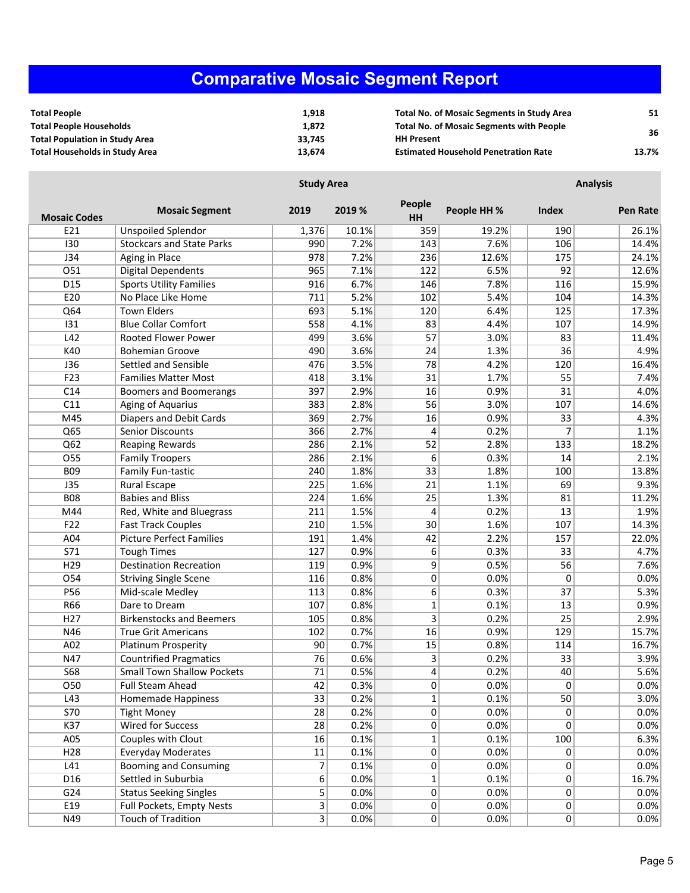# **Comparative Mosaic Segment Report**

| <b>Total People</b>                   | 1.918  | <b>Total No. of Mosaic Segments in Study Area</b> | 51    |
|---------------------------------------|--------|---------------------------------------------------|-------|
| <b>Total People Households</b>        | 1.872  | <b>Total No. of Mosaic Segments with People</b>   | 36    |
| <b>Total Population in Study Area</b> | 33.745 | <b>HH Present</b>                                 |       |
| Total Households in Study Area        | 13.674 | <b>Estimated Household Penetration Rate</b>       | 13.7% |

|                     | <b>Study Area</b>                 |                |        | <b>Analysis</b>     |             |       |                 |
|---------------------|-----------------------------------|----------------|--------|---------------------|-------------|-------|-----------------|
| <b>Mosaic Codes</b> | <b>Mosaic Segment</b>             | 2019           | 2019 % | People<br><b>HH</b> | People HH % | Index | <b>Pen Rate</b> |
| E21                 | <b>Unspoiled Splendor</b>         | 1,376          | 10.1%  | 359                 | 19.2%       | 190   | 26.1%           |
| 130                 | <b>Stockcars and State Parks</b>  | 990            | 7.2%   | 143                 | 7.6%        | 106   | 14.4%           |
| J34                 | Aging in Place                    | 978            | 7.2%   | 236                 | 12.6%       | 175   | 24.1%           |
| 051                 | <b>Digital Dependents</b>         | 965            | 7.1%   | 122                 | 6.5%        | 92    | 12.6%           |
| D <sub>15</sub>     | <b>Sports Utility Families</b>    | 916            | 6.7%   | 146                 | 7.8%        | 116   | 15.9%           |
| E20                 | No Place Like Home                | 711            | 5.2%   | 102                 | 5.4%        | 104   | 14.3%           |
| Q64                 | <b>Town Elders</b>                | 693            | 5.1%   | 120                 | 6.4%        | 125   | 17.3%           |
| 131                 | <b>Blue Collar Comfort</b>        | 558            | 4.1%   | 83                  | 4.4%        | 107   | 14.9%           |
| L42                 | <b>Rooted Flower Power</b>        | 499            | 3.6%   | 57                  | 3.0%        | 83    | 11.4%           |
| K40                 | <b>Bohemian Groove</b>            | 490            | 3.6%   | 24                  | 1.3%        | 36    | 4.9%            |
| J36                 | Settled and Sensible              | 476            | 3.5%   | 78                  | 4.2%        | 120   | 16.4%           |
| F23                 | <b>Families Matter Most</b>       | 418            | 3.1%   | 31                  | 1.7%        | 55    | 7.4%            |
| C14                 | <b>Boomers and Boomerangs</b>     | 397            | 2.9%   | 16                  | 0.9%        | 31    | 4.0%            |
| C11                 | Aging of Aquarius                 | 383            | 2.8%   | 56                  | 3.0%        | 107   | 14.6%           |
| M45                 | <b>Diapers and Debit Cards</b>    | 369            | 2.7%   | 16                  | 0.9%        | 33    | 4.3%            |
| Q65                 | <b>Senior Discounts</b>           | 366            | 2.7%   | 4                   | 0.2%        | 7     | 1.1%            |
| Q62                 | <b>Reaping Rewards</b>            | 286            | 2.1%   | 52                  | 2.8%        | 133   | 18.2%           |
| $\overline{O55}$    | <b>Family Troopers</b>            | 286            | 2.1%   | 6                   | 0.3%        | 14    | 2.1%            |
| <b>BO9</b>          | Family Fun-tastic                 | 240            | 1.8%   | 33                  | 1.8%        | 100   | 13.8%           |
| J35                 | Rural Escape                      | 225            | 1.6%   | 21                  | 1.1%        | 69    | 9.3%            |
| <b>B08</b>          | <b>Babies and Bliss</b>           | 224            | 1.6%   | 25                  | 1.3%        | 81    | 11.2%           |
| M44                 | Red, White and Bluegrass          | 211            | 1.5%   | 4                   | 0.2%        | 13    | 1.9%            |
| F22                 | <b>Fast Track Couples</b>         | 210            | 1.5%   | 30                  | 1.6%        | 107   | 14.3%           |
| A04                 | <b>Picture Perfect Families</b>   | 191            | 1.4%   | 42                  | 2.2%        | 157   | 22.0%           |
| S71                 | <b>Tough Times</b>                | 127            | 0.9%   | 6                   | 0.3%        | 33    | 4.7%            |
| H <sub>29</sub>     | <b>Destination Recreation</b>     | 119            | 0.9%   | 9                   | 0.5%        | 56    | 7.6%            |
| O54                 | <b>Striving Single Scene</b>      | 116            | 0.8%   | $\mathbf{0}$        | 0.0%        | 0     | 0.0%            |
| P56                 | Mid-scale Medley                  | 113            | 0.8%   | 6                   | 0.3%        | 37    | 5.3%            |
| R66                 | Dare to Dream                     | 107            | 0.8%   | $\mathbf{1}$        | 0.1%        | 13    | 0.9%            |
| H <sub>27</sub>     | <b>Birkenstocks and Beemers</b>   | 105            | 0.8%   | 3                   | 0.2%        | 25    | 2.9%            |
| N46                 | <b>True Grit Americans</b>        | 102            | 0.7%   | 16                  | 0.9%        | 129   | 15.7%           |
| A02                 | Platinum Prosperity               | 90             | 0.7%   | 15                  | 0.8%        | 114   | 16.7%           |
| N47                 | <b>Countrified Pragmatics</b>     | 76             | 0.6%   | 3                   | 0.2%        | 33    | 3.9%            |
| <b>S68</b>          | <b>Small Town Shallow Pockets</b> | 71             | 0.5%   | 4                   | 0.2%        | 40    | 5.6%            |
| 050                 | Full Steam Ahead                  | 42             | 0.3%   | 0                   | 0.0%        | 0     | 0.0%            |
| L43                 | Homemade Happiness                | 33             | 0.2%   | $\mathbf{1}$        | 0.1%        | 50    | 3.0%            |
| S70                 | <b>Tight Money</b>                | 28             | 0.2%   | 0                   | 0.0%        | 0     | 0.0%            |
| K37                 | Wired for Success                 | 28             | 0.2%   | 0                   | 0.0%        | 0     | 0.0%            |
| A05                 | Couples with Clout                | 16             | 0.1%   | $\mathbf{1}$        | 0.1%        | 100   | 6.3%            |
| H <sub>28</sub>     | <b>Everyday Moderates</b>         | 11             | 0.1%   | 0                   | 0.0%        | 0     | 0.0%            |
| L41                 | <b>Booming and Consuming</b>      | 7              | 0.1%   | 0                   | 0.0%        | 0     | 0.0%            |
| D16                 | Settled in Suburbia               | 6              | 0.0%   | $\mathbf{1}$        | 0.1%        | 0     | 16.7%           |
| G24                 | <b>Status Seeking Singles</b>     | 5              | 0.0%   | 0                   | 0.0%        | 0     | 0.0%            |
| E19                 | Full Pockets, Empty Nests         | $\overline{3}$ | 0.0%   | 0                   | 0.0%        | 0     | 0.0%            |
| N49                 | <b>Touch of Tradition</b>         | $\overline{3}$ | 0.0%   | 0                   | 0.0%        | 0     | 0.0%            |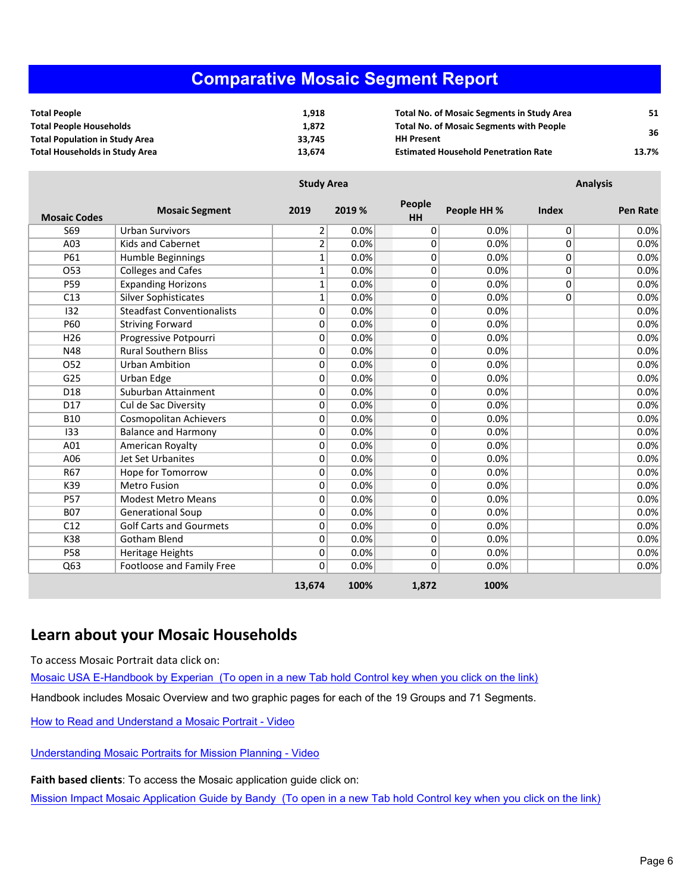#### **Comparative Mosaic Segment Report**

| <b>Total People</b>                   | 1.918  | <b>Total No. of Mosaic Segments in Study Area</b> | 51    |
|---------------------------------------|--------|---------------------------------------------------|-------|
| <b>Total People Households</b>        | 1.872  | <b>Total No. of Mosaic Segments with People</b>   | 36    |
| <b>Total Population in Study Area</b> | 33.745 | <b>HH Present</b>                                 |       |
| <b>Total Households in Study Area</b> | 13.674 | <b>Estimated Household Penetration Rate</b>       | 13.7% |

|                     | <b>Study Area</b>                 |                |        |              |             | <b>Analysis</b> |                 |  |
|---------------------|-----------------------------------|----------------|--------|--------------|-------------|-----------------|-----------------|--|
| <b>Mosaic Codes</b> | <b>Mosaic Segment</b>             | 2019           | 2019 % | People<br>HH | People HH % | <b>Index</b>    | <b>Pen Rate</b> |  |
| S69                 | <b>Urban Survivors</b>            | 2              | 0.0%   | 0            | 0.0%        | $\Omega$        | 0.0%            |  |
| A03                 | <b>Kids and Cabernet</b>          | $\overline{2}$ | 0.0%   | 0            | 0.0%        | 0               | 0.0%            |  |
| P61                 | Humble Beginnings                 | 1              | 0.0%   | 0            | 0.0%        | 0               | 0.0%            |  |
| O53                 | <b>Colleges and Cafes</b>         | 1              | 0.0%   | 0            | 0.0%        | 0               | 0.0%            |  |
| P59                 | <b>Expanding Horizons</b>         | 1              | 0.0%   | 0            | 0.0%        | 0               | 0.0%            |  |
| C13                 | <b>Silver Sophisticates</b>       | 1              | 0.0%   | 0            | 0.0%        | $\Omega$        | 0.0%            |  |
| 132                 | <b>Steadfast Conventionalists</b> | 0              | 0.0%   | 0            | 0.0%        |                 | 0.0%            |  |
| P60                 | <b>Striving Forward</b>           | 0              | 0.0%   | 0            | 0.0%        |                 | 0.0%            |  |
| H <sub>26</sub>     | Progressive Potpourri             | 0              | 0.0%   | 0            | 0.0%        |                 | 0.0%            |  |
| N48                 | <b>Rural Southern Bliss</b>       | 0              | 0.0%   | 0            | 0.0%        |                 | 0.0%            |  |
| O52                 | <b>Urban Ambition</b>             | 0              | 0.0%   | 0            | 0.0%        |                 | 0.0%            |  |
| G25                 | Urban Edge                        | 0              | 0.0%   | 0            | 0.0%        |                 | 0.0%            |  |
| D18                 | Suburban Attainment               | 0              | 0.0%   | 0            | 0.0%        |                 | 0.0%            |  |
| D17                 | Cul de Sac Diversity              | 0              | 0.0%   | 0            | 0.0%        |                 | 0.0%            |  |
| <b>B10</b>          | Cosmopolitan Achievers            | 0              | 0.0%   | 0            | 0.0%        |                 | 0.0%            |  |
| 133                 | <b>Balance and Harmony</b>        | 0              | 0.0%   | 0            | 0.0%        |                 | 0.0%            |  |
| A01                 | American Royalty                  | 0              | 0.0%   | 0            | 0.0%        |                 | 0.0%            |  |
| A06                 | <b>Jet Set Urbanites</b>          | 0              | 0.0%   | 0            | 0.0%        |                 | 0.0%            |  |
| R67                 | Hope for Tomorrow                 | 0              | 0.0%   | 0            | 0.0%        |                 | 0.0%            |  |
| K39                 | <b>Metro Fusion</b>               | 0              | 0.0%   | 0            | 0.0%        |                 | 0.0%            |  |
| <b>P57</b>          | <b>Modest Metro Means</b>         | 0              | 0.0%   | 0            | 0.0%        |                 | 0.0%            |  |
| <b>B07</b>          | <b>Generational Soup</b>          | 0              | 0.0%   | 0            | 0.0%        |                 | 0.0%            |  |
| C12                 | <b>Golf Carts and Gourmets</b>    | 0              | 0.0%   | 0            | 0.0%        |                 | 0.0%            |  |
| K38                 | <b>Gotham Blend</b>               | 0              | 0.0%   | 0            | 0.0%        |                 | 0.0%            |  |
| <b>P58</b>          | Heritage Heights                  | 0              | 0.0%   | 0            | 0.0%        |                 | 0.0%            |  |
| Q63                 | Footloose and Family Free         | 0              | 0.0%   | 0            | 0.0%        |                 | 0.0%            |  |
|                     |                                   | 13,674         | 100%   | 1,872        | 100%        |                 |                 |  |

#### **Learn about your Mosaic Households**

To access Mosaic Portrait data click on:

Mosaic USA E-Handbook by [Experian \(To](https://s3-us-west-2.amazonaws.com/mi-docs/Mosaic+USA+E-Handbook.pdf) open in a new Tab hold Control key when you click on the link)

Handbook includes Mosaic Overview and two graphic pages for each of the 19 Groups and 71 Segments.

How to Read and [Understand](https://s3-us-west-2.amazonaws.com/misupport/videos/NewUI/Mosaic+E-Handbook+How+to+Read+and+Understand+a+Mosaic+Portrait+w+Nar.mp4) a Mosaic Portrait - Video

[Understanding](https://s3-us-west-2.amazonaws.com/misupport/videos/NewUI/Mosaic+E-Handbook+Understanding+Mosaic+Portraits+for+Ministry+Planning+v2+w+Nar.mp4) Mosaic Portraits for Mission Planning - Video

**Faith based clients**: To access the Mosaic application guide click on:

Mission Impact Mosaic Application Guide by [Bandy \(To](http://missioninsite.com/missionimpact-guide/) open in a new Tab hold Control key when you click on the link)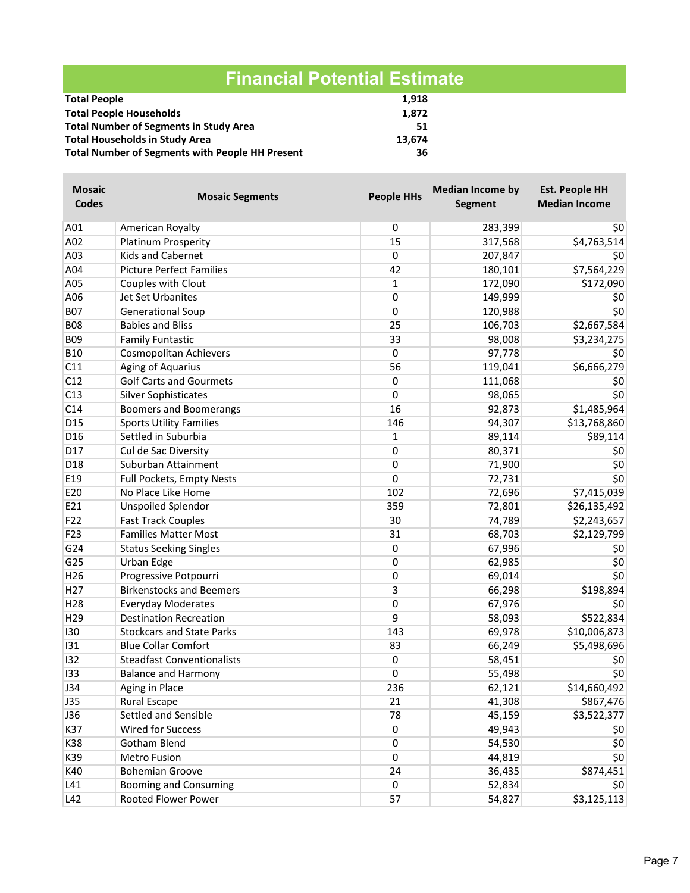|                                                        | <b>Financial Potential Estimate</b> |
|--------------------------------------------------------|-------------------------------------|
| <b>Total People</b>                                    | 1,918                               |
| <b>Total People Households</b>                         | 1,872                               |
| <b>Total Number of Segments in Study Area</b>          | 51                                  |
| <b>Total Households in Study Area</b>                  | 13,674                              |
| <b>Total Number of Segments with People HH Present</b> | 36                                  |

| <b>Mosaic</b>   |                                   | <b>People HHs</b>     | <b>Median Income by</b> | <b>Est. People HH</b> |
|-----------------|-----------------------------------|-----------------------|-------------------------|-----------------------|
| <b>Codes</b>    | <b>Mosaic Segments</b>            |                       | <b>Segment</b>          | <b>Median Income</b>  |
| A01             | American Royalty                  | 0                     | 283,399                 | 50 <sub>2</sub>       |
| A02             | Platinum Prosperity               | 15                    | 317,568                 | \$4,763,514           |
| A03             | <b>Kids and Cabernet</b>          | $\overline{\text{o}}$ | 207,847                 | \$0                   |
| A04             | <b>Picture Perfect Families</b>   | 42                    | 180,101                 | \$7,564,229           |
| A05             | Couples with Clout                | $\mathbf{1}$          | 172,090                 | \$172,090             |
| A06             | Jet Set Urbanites                 | 0                     | 149,999                 | \$0                   |
| <b>B07</b>      | <b>Generational Soup</b>          | 0                     | 120,988                 | \$0                   |
| <b>B08</b>      | <b>Babies and Bliss</b>           | 25                    | 106,703                 | \$2,667,584           |
| <b>B09</b>      | <b>Family Funtastic</b>           | 33                    | 98,008                  | \$3,234,275           |
| <b>B10</b>      | Cosmopolitan Achievers            | 0                     | 97,778                  | \$0                   |
| C11             | Aging of Aquarius                 | 56                    | 119,041                 | \$6,666,279           |
| C12             | <b>Golf Carts and Gourmets</b>    | 0                     | 111,068                 | \$0                   |
| C13             | <b>Silver Sophisticates</b>       | 0                     | 98,065                  | \$0                   |
| C14             | Boomers and Boomerangs            | 16                    | 92,873                  | \$1,485,964           |
| D15             | <b>Sports Utility Families</b>    | 146                   | 94,307                  | \$13,768,860          |
| D16             | Settled in Suburbia               | $\mathbf{1}$          | 89,114                  | \$89,114              |
| D17             | Cul de Sac Diversity              | 0                     | 80,371                  | \$0                   |
| D18             | Suburban Attainment               | 0                     | 71,900                  | \$0                   |
| E19             | Full Pockets, Empty Nests         | $\overline{0}$        | 72,731                  | \$0                   |
| E20             | No Place Like Home                | 102                   | 72,696                  | \$7,415,039           |
| E21             | <b>Unspoiled Splendor</b>         | 359                   | 72,801                  | \$26,135,492          |
| F22             | <b>Fast Track Couples</b>         | 30                    | 74,789                  | \$2,243,657           |
| F23             | <b>Families Matter Most</b>       | 31                    | 68,703                  | \$2,129,799           |
| G24             | <b>Status Seeking Singles</b>     | 0                     | 67,996                  | \$0                   |
| G25             | Urban Edge                        | 0                     | 62,985                  | \$0                   |
| H <sub>26</sub> | Progressive Potpourri             | 0                     | 69,014                  | \$0                   |
| H <sub>27</sub> | <b>Birkenstocks and Beemers</b>   | 3                     | 66,298                  | \$198,894             |
| H <sub>28</sub> | <b>Everyday Moderates</b>         | $\overline{\text{o}}$ | 67,976                  | \$0                   |
| H <sub>29</sub> | <b>Destination Recreation</b>     | 9                     | 58,093                  | \$522,834             |
| 130             | <b>Stockcars and State Parks</b>  | 143                   | 69,978                  | \$10,006,873          |
| 131             | <b>Blue Collar Comfort</b>        | 83                    | 66,249                  | \$5,498,696           |
| 132             | <b>Steadfast Conventionalists</b> | 0                     | 58,451                  | \$0                   |
| 133             | <b>Balance and Harmony</b>        | 0                     | 55,498                  | \$0                   |
| <b>J34</b>      | Aging in Place                    | 236                   | 62,121                  | \$14,660,492          |
| <b>J35</b>      | <b>Rural Escape</b>               | 21                    | 41,308                  | \$867,476             |
| <b>J36</b>      | Settled and Sensible              | 78                    | 45,159                  | \$3,522,377           |
| K37             | Wired for Success                 | 0                     | 49,943                  | \$0                   |
| K38             | Gotham Blend                      | 0                     | 54,530                  | \$0                   |
| K39             | Metro Fusion                      | 0                     | 44,819                  | \$0                   |
| K40             | <b>Bohemian Groove</b>            | 24                    | 36,435                  | \$874,451             |
| L41             | <b>Booming and Consuming</b>      | 0                     | 52,834                  | \$0                   |
| L42             | Rooted Flower Power               | 57                    | 54,827                  | \$3,125,113           |